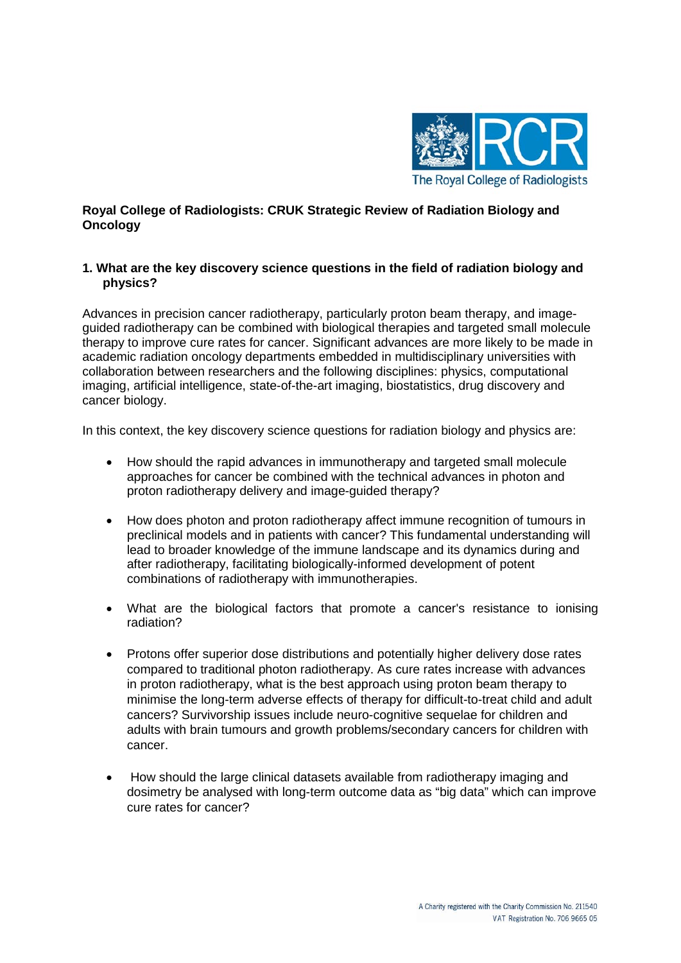

# **Royal College of Radiologists: CRUK Strategic Review of Radiation Biology and Oncology**

# **1. What are the key discovery science questions in the field of radiation biology and physics?**

Advances in precision cancer radiotherapy, particularly proton beam therapy, and imageguided radiotherapy can be combined with biological therapies and targeted small molecule therapy to improve cure rates for cancer. Significant advances are more likely to be made in academic radiation oncology departments embedded in multidisciplinary universities with collaboration between researchers and the following disciplines: physics, computational imaging, artificial intelligence, state-of-the-art imaging, biostatistics, drug discovery and cancer biology.

In this context, the key discovery science questions for radiation biology and physics are:

- How should the rapid advances in immunotherapy and targeted small molecule approaches for cancer be combined with the technical advances in photon and proton radiotherapy delivery and image-guided therapy?
- How does photon and proton radiotherapy affect immune recognition of tumours in preclinical models and in patients with cancer? This fundamental understanding will lead to broader knowledge of the immune landscape and its dynamics during and after radiotherapy, facilitating biologically-informed development of potent combinations of radiotherapy with immunotherapies.
- What are the biological factors that promote a cancer's resistance to ionising radiation?
- Protons offer superior dose distributions and potentially higher delivery dose rates compared to traditional photon radiotherapy. As cure rates increase with advances in proton radiotherapy, what is the best approach using proton beam therapy to minimise the long-term adverse effects of therapy for difficult-to-treat child and adult cancers? Survivorship issues include neuro-cognitive sequelae for children and adults with brain tumours and growth problems/secondary cancers for children with cancer.
- How should the large clinical datasets available from radiotherapy imaging and dosimetry be analysed with long-term outcome data as "big data" which can improve cure rates for cancer?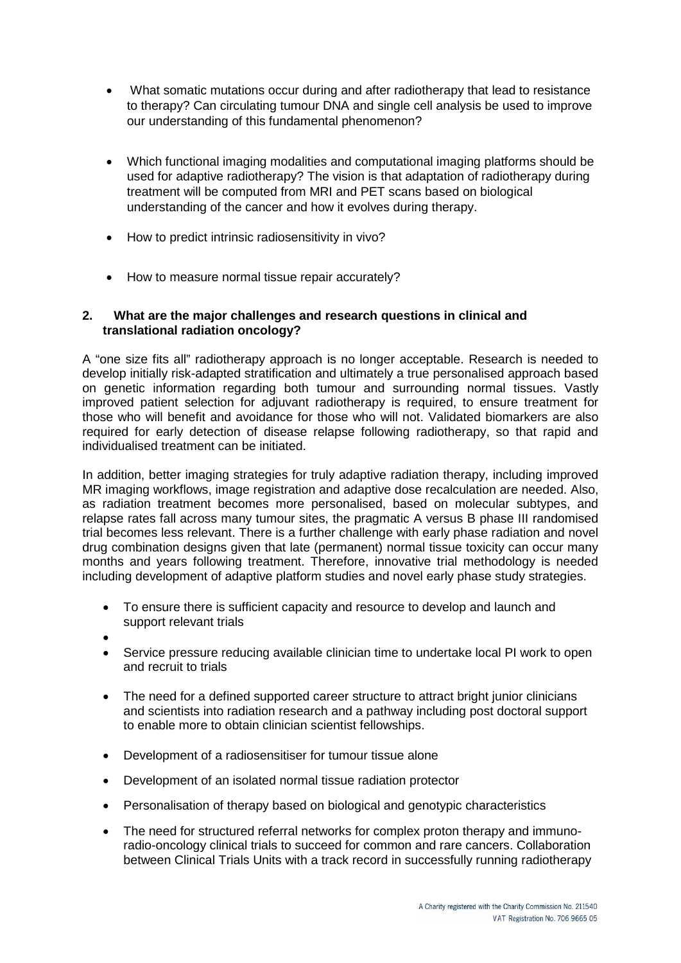- What somatic mutations occur during and after radiotherapy that lead to resistance to therapy? Can circulating tumour DNA and single cell analysis be used to improve our understanding of this fundamental phenomenon?
- Which functional imaging modalities and computational imaging platforms should be used for adaptive radiotherapy? The vision is that adaptation of radiotherapy during treatment will be computed from MRI and PET scans based on biological understanding of the cancer and how it evolves during therapy.
- How to predict intrinsic radiosensitivity in vivo?
- How to measure normal tissue repair accurately?

# **2. What are the major challenges and research questions in clinical and translational radiation oncology?**

A "one size fits all" radiotherapy approach is no longer acceptable. Research is needed to develop initially risk-adapted stratification and ultimately a true personalised approach based on genetic information regarding both tumour and surrounding normal tissues. Vastly improved patient selection for adjuvant radiotherapy is required, to ensure treatment for those who will benefit and avoidance for those who will not. Validated biomarkers are also required for early detection of disease relapse following radiotherapy, so that rapid and individualised treatment can be initiated.

In addition, better imaging strategies for truly adaptive radiation therapy, including improved MR imaging workflows, image registration and adaptive dose recalculation are needed. Also, as radiation treatment becomes more personalised, based on molecular subtypes, and relapse rates fall across many tumour sites, the pragmatic A versus B phase III randomised trial becomes less relevant. There is a further challenge with early phase radiation and novel drug combination designs given that late (permanent) normal tissue toxicity can occur many months and years following treatment. Therefore, innovative trial methodology is needed including development of adaptive platform studies and novel early phase study strategies.

- To ensure there is sufficient capacity and resource to develop and launch and support relevant trials
- •
- Service pressure reducing available clinician time to undertake local PI work to open and recruit to trials
- The need for a defined supported career structure to attract bright junior clinicians and scientists into radiation research and a pathway including post doctoral support to enable more to obtain clinician scientist fellowships.
- Development of a radiosensitiser for tumour tissue alone
- Development of an isolated normal tissue radiation protector
- Personalisation of therapy based on biological and genotypic characteristics
- The need for structured referral networks for complex proton therapy and immunoradio-oncology clinical trials to succeed for common and rare cancers. Collaboration between Clinical Trials Units with a track record in successfully running radiotherapy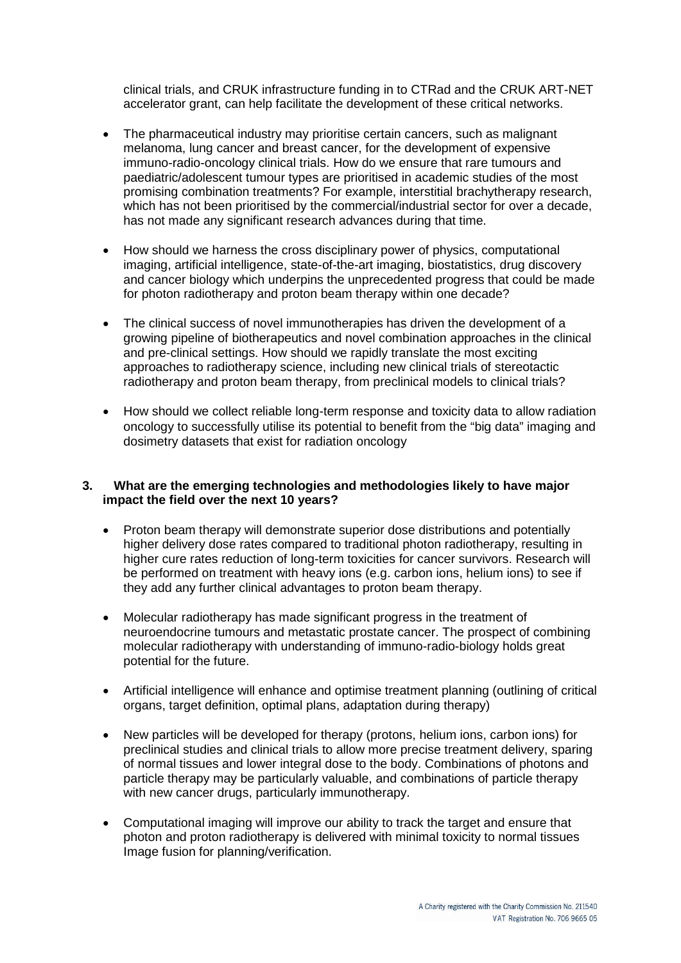clinical trials, and CRUK infrastructure funding in to CTRad and the CRUK ART-NET accelerator grant, can help facilitate the development of these critical networks.

- The pharmaceutical industry may prioritise certain cancers, such as malignant melanoma, lung cancer and breast cancer, for the development of expensive immuno-radio-oncology clinical trials. How do we ensure that rare tumours and paediatric/adolescent tumour types are prioritised in academic studies of the most promising combination treatments? For example, interstitial brachytherapy research, which has not been prioritised by the commercial/industrial sector for over a decade, has not made any significant research advances during that time.
- How should we harness the cross disciplinary power of physics, computational imaging, artificial intelligence, state-of-the-art imaging, biostatistics, drug discovery and cancer biology which underpins the unprecedented progress that could be made for photon radiotherapy and proton beam therapy within one decade?
- The clinical success of novel immunotherapies has driven the development of a growing pipeline of biotherapeutics and novel combination approaches in the clinical and pre-clinical settings. How should we rapidly translate the most exciting approaches to radiotherapy science, including new clinical trials of stereotactic radiotherapy and proton beam therapy, from preclinical models to clinical trials?
- How should we collect reliable long-term response and toxicity data to allow radiation oncology to successfully utilise its potential to benefit from the "big data" imaging and dosimetry datasets that exist for radiation oncology

#### **3. What are the emerging technologies and methodologies likely to have major impact the field over the next 10 years?**

- Proton beam therapy will demonstrate superior dose distributions and potentially higher delivery dose rates compared to traditional photon radiotherapy, resulting in higher cure rates reduction of long-term toxicities for cancer survivors. Research will be performed on treatment with heavy ions (e.g. carbon ions, helium ions) to see if they add any further clinical advantages to proton beam therapy.
- Molecular radiotherapy has made significant progress in the treatment of neuroendocrine tumours and metastatic prostate cancer. The prospect of combining molecular radiotherapy with understanding of immuno-radio-biology holds great potential for the future.
- Artificial intelligence will enhance and optimise treatment planning (outlining of critical organs, target definition, optimal plans, adaptation during therapy)
- New particles will be developed for therapy (protons, helium ions, carbon ions) for preclinical studies and clinical trials to allow more precise treatment delivery, sparing of normal tissues and lower integral dose to the body. Combinations of photons and particle therapy may be particularly valuable, and combinations of particle therapy with new cancer drugs, particularly immunotherapy.
- Computational imaging will improve our ability to track the target and ensure that photon and proton radiotherapy is delivered with minimal toxicity to normal tissues Image fusion for planning/verification.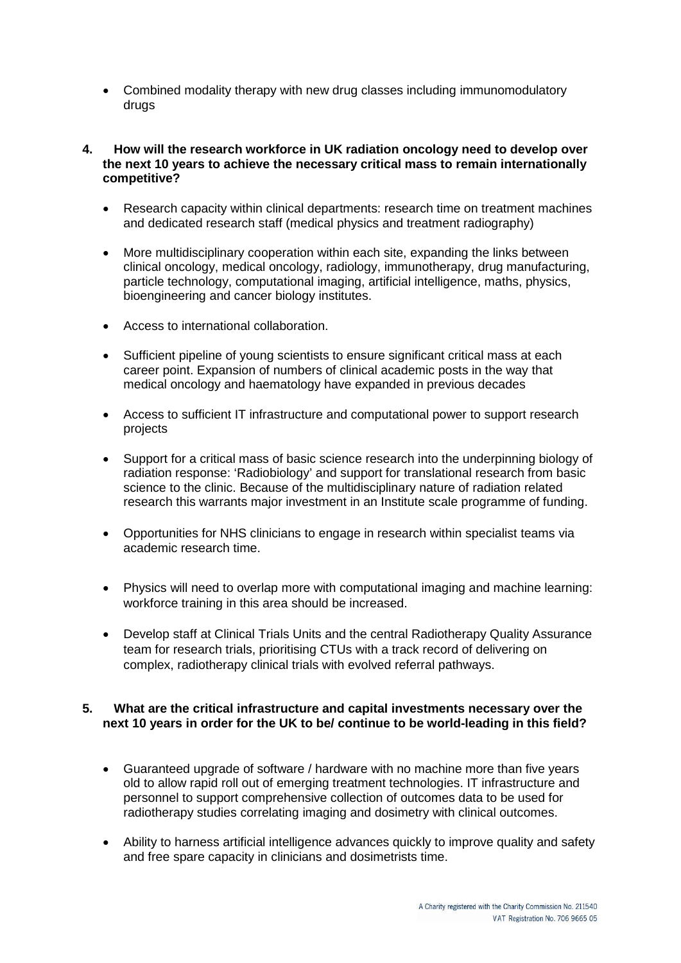• Combined modality therapy with new drug classes including immunomodulatory drugs

#### **4. How will the research workforce in UK radiation oncology need to develop over the next 10 years to achieve the necessary critical mass to remain internationally competitive?**

- Research capacity within clinical departments: research time on treatment machines and dedicated research staff (medical physics and treatment radiography)
- More multidisciplinary cooperation within each site, expanding the links between clinical oncology, medical oncology, radiology, immunotherapy, drug manufacturing, particle technology, computational imaging, artificial intelligence, maths, physics, bioengineering and cancer biology institutes.
- Access to international collaboration.
- Sufficient pipeline of young scientists to ensure significant critical mass at each career point. Expansion of numbers of clinical academic posts in the way that medical oncology and haematology have expanded in previous decades
- Access to sufficient IT infrastructure and computational power to support research projects
- Support for a critical mass of basic science research into the underpinning biology of radiation response: 'Radiobiology' and support for translational research from basic science to the clinic. Because of the multidisciplinary nature of radiation related research this warrants major investment in an Institute scale programme of funding.
- Opportunities for NHS clinicians to engage in research within specialist teams via academic research time.
- Physics will need to overlap more with computational imaging and machine learning: workforce training in this area should be increased.
- Develop staff at Clinical Trials Units and the central Radiotherapy Quality Assurance team for research trials, prioritising CTUs with a track record of delivering on complex, radiotherapy clinical trials with evolved referral pathways.

# **5. What are the critical infrastructure and capital investments necessary over the next 10 years in order for the UK to be/ continue to be world-leading in this field?**

- Guaranteed upgrade of software / hardware with no machine more than five years old to allow rapid roll out of emerging treatment technologies. IT infrastructure and personnel to support comprehensive collection of outcomes data to be used for radiotherapy studies correlating imaging and dosimetry with clinical outcomes.
- Ability to harness artificial intelligence advances quickly to improve quality and safety and free spare capacity in clinicians and dosimetrists time.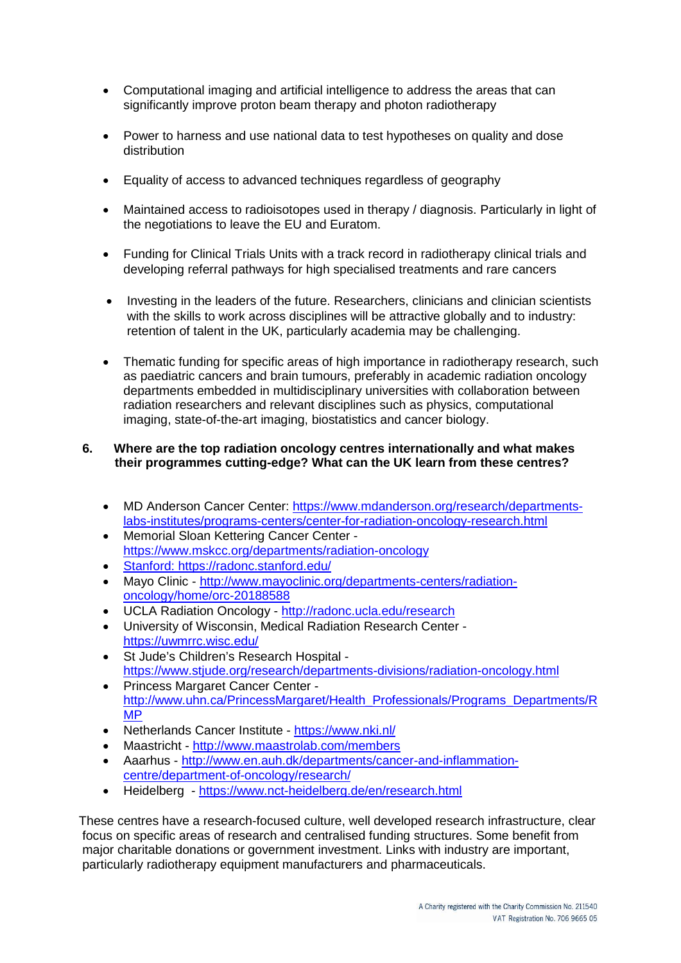- Computational imaging and artificial intelligence to address the areas that can significantly improve proton beam therapy and photon radiotherapy
- Power to harness and use national data to test hypotheses on quality and dose distribution
- Equality of access to advanced techniques regardless of geography
- Maintained access to radioisotopes used in therapy / diagnosis. Particularly in light of the negotiations to leave the EU and Euratom.
- Funding for Clinical Trials Units with a track record in radiotherapy clinical trials and developing referral pathways for high specialised treatments and rare cancers
- Investing in the leaders of the future. Researchers, clinicians and clinician scientists with the skills to work across disciplines will be attractive globally and to industry: retention of talent in the UK, particularly academia may be challenging.
- Thematic funding for specific areas of high importance in radiotherapy research, such as paediatric cancers and brain tumours, preferably in academic radiation oncology departments embedded in multidisciplinary universities with collaboration between radiation researchers and relevant disciplines such as physics, computational imaging, state-of-the-art imaging, biostatistics and cancer biology.

# **6. Where are the top radiation oncology centres internationally and what makes their programmes cutting-edge? What can the UK learn from these centres?**

- MD Anderson Cancer Center: [https://www.mdanderson.org/research/departments](https://www.mdanderson.org/research/departments-labs-institutes/programs-centers/center-for-radiation-oncology-research.html)[labs-institutes/programs-centers/center-for-radiation-oncology-research.html](https://www.mdanderson.org/research/departments-labs-institutes/programs-centers/center-for-radiation-oncology-research.html)
- Memorial Sloan Kettering Cancer Center <https://www.mskcc.org/departments/radiation-oncology>
- Stanford: https://radonc.stanford.edu/
- Mayo Clinic [http://www.mayoclinic.org/departments-centers/radiation](http://www.mayoclinic.org/departments-centers/radiation-oncology/home/orc-20188588)[oncology/home/orc-20188588](http://www.mayoclinic.org/departments-centers/radiation-oncology/home/orc-20188588)
- UCLA Radiation Oncology <http://radonc.ucla.edu/research>
- University of Wisconsin, Medical Radiation Research Center <https://uwmrrc.wisc.edu/>
- St Jude's Children's Research Hospital <https://www.stjude.org/research/departments-divisions/radiation-oncology.html>
- Princess Margaret Cancer Center [http://www.uhn.ca/PrincessMargaret/Health\\_Professionals/Programs\\_Departments/R](http://www.uhn.ca/PrincessMargaret/Health_Professionals/Programs_Departments/RMP) [MP](http://www.uhn.ca/PrincessMargaret/Health_Professionals/Programs_Departments/RMP)
- Netherlands Cancer Institute <https://www.nki.nl/>
- Maastricht <http://www.maastrolab.com/members>
- Aaarhus [http://www.en.auh.dk/departments/cancer-and-inflammation](http://www.en.auh.dk/departments/cancer-and-inflammation-centre/department-of-oncology/research/)[centre/department-of-oncology/research/](http://www.en.auh.dk/departments/cancer-and-inflammation-centre/department-of-oncology/research/)
- Heidelberg <https://www.nct-heidelberg.de/en/research.html>

 These centres have a research-focused culture, well developed research infrastructure, clear focus on specific areas of research and centralised funding structures. Some benefit from major charitable donations or government investment. Links with industry are important, particularly radiotherapy equipment manufacturers and pharmaceuticals.